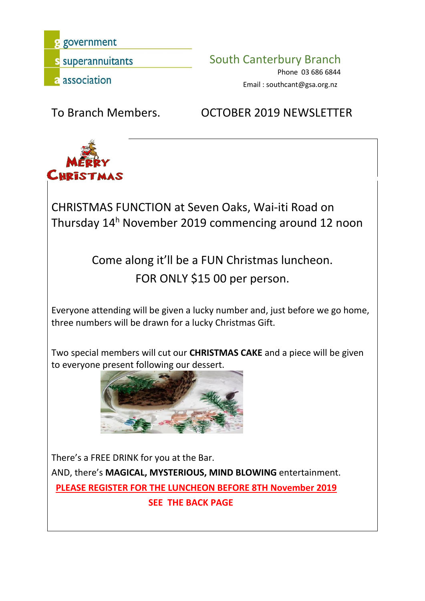government

s superannuitants **South Canterbury Branch** 

Phone 03 686 6844 Email : southcant@gsa.org.nz

To Branch Members. OCTOBER 2019 NEWSLETTER



CHRISTMAS FUNCTION at Seven Oaks, Wai-iti Road on Thursday 14 <sup>h</sup> November 2019 commencing around 12 noon

> Come along it'll be a FUN Christmas luncheon. FOR ONLY \$15 00 per person.

Everyone attending will be given a lucky number and, just before we go home, three numbers will be drawn for a lucky Christmas Gift.

Two special members will cut our **CHRISTMAS CAKE** and a piece will be given to everyone present following our dessert.



There's a FREE DRINK for you at the Bar. AND, there's **MAGICAL, MYSTERIOUS, MIND BLOWING** entertainment. **PLEASE REGISTER FOR THE LUNCHEON BEFORE 8TH November 2019 SEE THE BACK PAGE**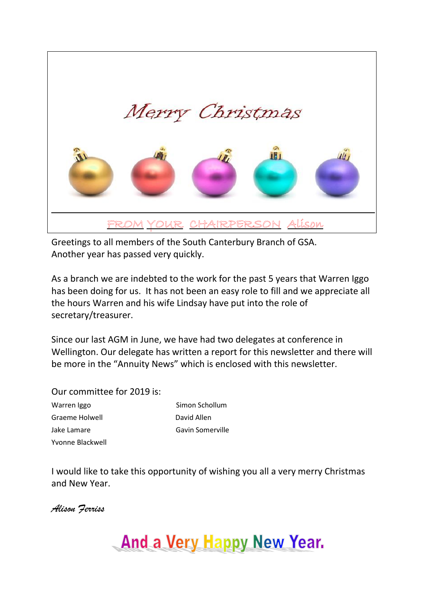

Greetings to all members of the South Canterbury Branch of GSA. Another year has passed very quickly.

As a branch we are indebted to the work for the past 5 years that Warren Iggo has been doing for us. It has not been an easy role to fill and we appreciate all the hours Warren and his wife Lindsay have put into the role of secretary/treasurer.

Since our last AGM in June, we have had two delegates at conference in Wellington. Our delegate has written a report for this newsletter and there will be more in the "Annuity News" which is enclosed with this newsletter.

Our committee for 2019 is: Warren Iggo Simon Schollum Graeme Holwell **David Allen** 

Jake Lamare Gavin Somerville Yvonne Blackwell

I would like to take this opportunity of wishing you all a very merry Christmas and New Year.

*Alison Ferriss*

And a Very Happy New Year.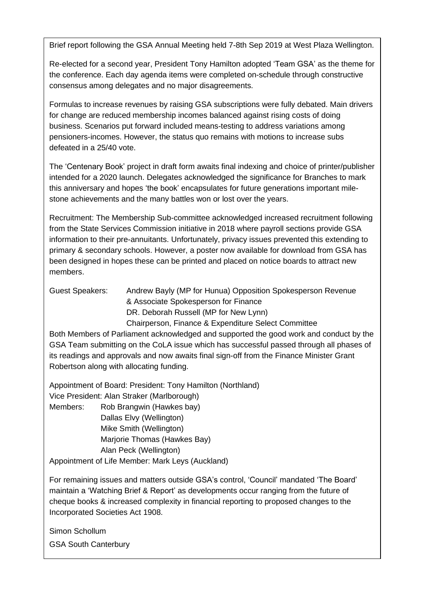Brief report following the GSA Annual Meeting held 7-8th Sep 2019 at West Plaza Wellington.

Re-elected for a second year, President Tony Hamilton adopted 'Team GSA' as the theme for the conference. Each day agenda items were completed on-schedule through constructive consensus among delegates and no major disagreements.

. pensioners-incomes. However, the status quo remains with motions to increase subs defeated in a 25/40 vote. Formulas to increase revenues by raising GSA subscriptions were fully debated. Main drivers for change are reduced membership incomes balanced against rising costs of doing business. Scenarios put forward included means-testing to address variations among

The 'Centenary Book' project in draft form awaits final indexing and choice of printer/publisher intended for a 2020 launch. Delegates acknowledged the significance for Branches to mark this anniversary and hopes 'the book' encapsulates for future generations important milestone achievements and the many battles won or lost over the years.

Recruitment: The Membership Sub-committee acknowledged increased recruitment following from the State Services Commission initiative in 2018 where payroll sections provide GSA information to their pre-annuitants. Unfortunately, privacy issues prevented this extending to  $\mathbf{L}$  authority has responsibility for other Government Superannuation  $\mathbf{L}$ primary & secondary schools. However, a poster now available for download from GSA has been designed in hopes these can be printed and placed on notice boards to attract new members.

Guest Speakers: Andrew Bayly (MP for Hunua) Opposition Spokesperson Revenue editions conditions and regulations from the regulation opposition opprobleme.<br>& Associate Spokesperson for Finance Chairperson, Finance & Expenditure Select Committee<br>Chairperson, Finance & Expenditure Select Committee DR. Deborah Russell (MP for New Lynn)

Both members of I amament acknowledged and supported the good work and conduct by the<br>GSA Team submitting on the CoLA issue which has successful passed through all phases of to our scheme. its readings and approvals and now awaits final sign-off from the Finance Minister Grant Both Members of Parliament acknowledged and supported the good work and conduct by the Robertson along with allocating funding.

Appointment of Board: President: Tony Hamilton (Northland) vice President: Alan Straker (Marlborough) Members: Rob Brangwin (Hawkes bay) Dallas Elvy (Wellington) Mike Smith (Wellington) Marjorie Thomas (Hawkes Bay) Alan Peck (Wellington) Appointment of Life Member: Mark Leys (Auckland)

For remaining issues and matters outside GSA's control, 'Council' mandated 'The Board' maintain a 'Watching Brief & Report' as developments occur ranging from the future of cheque books & increased complexity in financial reporting to proposed changes to the Incorporated Societies Act 1908.

Simon Schollum

GSA South Canterbury